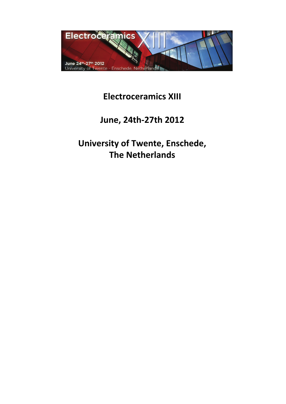

### **Electroceramics XIII**

# **June, 24th-27th 2012**

# **University of Twente, Enschede, The Netherlands**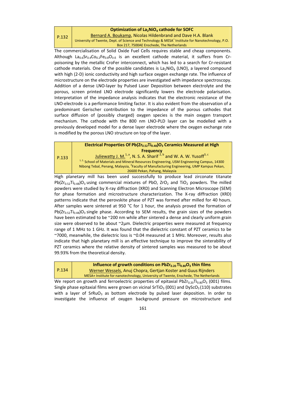#### **Optimization of La2NiO4 cathode for SOFC**

P.132

Bernard A. Boukamp, Nicolas Hildenbrand and Dave H.A. Blank University of Twente, Dept. of Science and Technology & MESA<sup>+</sup> Institute for Nanotechnology, P.O. Box 217, 7500AE Enschede, The Netherlands

The commercialisation of Solid Oxide Fuel Cells requires stable and cheap components. Although La<sub>0.6</sub>Sr<sub>0.4</sub>Co<sub>0.2</sub>Fe<sub>0.8</sub>O<sub>3-δ</sub> is an excellent cathode material, it suffers from Crpoisoning by the metallic CroFer interconnect, which has led to a search for Cr-resistant cathode materials. One of the possible candidates is  $La_2NiO_4$  (LNO), a layered compound with high (2-D) ionic conductivity and high surface oxygen exchange rate. The influence of microstructure on the electrode properties are investigated with impedance spectroscopy. Addition of a dense LNO-layer by Pulsed Laser Deposition between electrolyte and the porous, screen printed LNO electrode significantly lowers the electrode polarisation. Interpretation of the impedance analysis indicates that the electronic resistance of the LNO-electrode is a performance limiting factor. It is also evident from the observation of a predominant Gerischer contribution to the impedance of the porous cathodes that surface diffusion of (possibly charged) oxygen species is the main oxygen transport mechanism. The cathode with the 800 nm LNO-PLD layer can be modelled with a previously developed model for a dense layer electrode where the oxygen exchange rate is modified by the porous LNO structure on top of the layer.

#### P.133 **Electrical Properties Of Pb(Zr0.52Ti0.48)O3 Ceramics Measured at High Frequency**  Juliewatty J. M.<sup>1, a</sup>, N. S. A. Sharif <sup>2, b</sup> and W. A. W. Yusoff<sup>3, c</sup> <sup>1, 2</sup>, School of Materials and Mineral Resources Engineering, USM Engineering Campus, 14300 Nibong Tebal, Penang, Malaysia, <sup>3</sup>Faculty of Manufacturing Engineering, UMP Kampus Pekan, 26600 Pekan, Pahang, Malaysia

High planetary mill has been used successfully to produce lead zirconate titanate  $Pb(Zr_{0.52}Ti_{0.48})O_3$  using commercial mixtures of PbO, ZrO<sub>2</sub> and TiO<sub>2</sub> powders. The milled powders were studied by X-ray diffraction (XRD) and Scanning Electron Microscope (SEM) for phase formation and microstructure characterization. The X-ray diffraction (XRD) patterns indicate that the perovskite phase of PZT was formed after milled for 40 hours. After samples were sintered at 950 °C for 1 hour, the analysis proved the formation of  $Pb(Zr_{0.52}Ti_{0.48})O_3$  single phase. According to SEM results, the grain sizes of the powders have been estimated to be ~200 nm while after sintered a dense and clearly uniform grain size were observed to be about ~2µm. Dielectric properties were measured at frequency range of 1 MHz to 1 GHz. It was found that the dielectric constant of PZT ceramics to be  $\sim$ 7000, meanwhile, the dielectric loss is  $\sim$ 0.04 measured at 1 MHz. Moreover, results also indicate that high planetary mill is an effective technique to improve the sinterability of PZT ceramics where the relative density of sintered samples was measured to be about 99.93% from the theoretical density.

P.134

**Influence of growth conditions on PbZr<sub>0.20</sub> Ti<sub>0.80</sub>O<sub>3</sub> thin films** Werner Wessels, Anuj Chopra, Gertjan Koster and Guus Rijnders MESA+ Institute for nanotechnology, University of Twente, Enschede, The Netherlands

We report on growth and ferroelectric properties of epitaxial PbZr<sub>0.20</sub>Ti<sub>0.80</sub>O<sub>3</sub> (001) films. Single phase epitaxial films were grown on vicinal SrTiO<sub>3</sub> (001) and DyScO<sub>3</sub> (110) substrates with a layer of SrRuO<sub>3</sub> as bottom electrode by pulsed laser deposition. In order to investigate the influence of oxygen background pressure on microstructure and

161